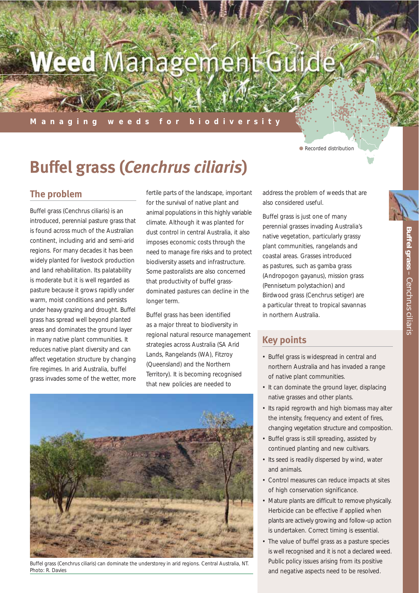# Weed Management Guide

#### **Managing weeds for biodiversity**

● Recorded distribution

## **Buffel grass (***Cenchrus ciliaris***)**

## **The problem**

Buffel grass (*Cenchrus ciliaris*) is an introduced, perennial pasture grass that is found across much of the Australian continent, including arid and semi-arid regions. For many decades it has been widely planted for livestock production and land rehabilitation. Its palatability is moderate but it is well regarded as pasture because it grows rapidly under warm, moist conditions and persists under heavy grazing and drought. Buffel grass has spread well beyond planted areas and dominates the ground layer in many native plant communities. It reduces native plant diversity and can affect vegetation structure by changing fire regimes. In arid Australia, buffel grass invades some of the wetter, more fertile parts of the landscape, important for the survival of native plant and animal populations in this highly variable climate. Although it was planted for dust control in central Australia, it also imposes economic costs through the need to manage fire risks and to protect biodiversity assets and infrastructure. Some pastoralists are also concerned that productivity of buffel grassdominated pastures can decline in the longer term.

Buffel grass has been identified as a major threat to biodiversity in regional natural resource management strategies across Australia (SA Arid Lands, Rangelands (WA), Fitzroy (Queensland) and the Northern Territory). It is becoming recognised that new policies are needed to

address the problem of weeds that are also considered useful.

Buffel grass is just one of many perennial grasses invading Australia's native vegetation, particularly grassy plant communities, rangelands and coastal areas. Grasses introduced as pastures, such as gamba grass (*Andropogon gayanus*), mission grass (*Pennisetum polystachion*) and Birdwood grass (*Cenchrus setiger*) are a particular threat to tropical savannas in northern Australia.

## **Key points**

- Buffel grass is widespread in central and northern Australia and has invaded a range of native plant communities.
- It can dominate the ground layer, displacing native grasses and other plants.
- Its rapid regrowth and high biomass may alter the intensity, frequency and extent of fires, changing vegetation structure and composition.
- Buffel grass is still spreading, assisted by continued planting and new cultivars.
- Its seed is readily dispersed by wind, water and animals.
- Control measures can reduce impacts at sites of high conservation significance.
- Mature plants are difficult to remove physically. Herbicide can be effective if applied when plants are actively growing and follow-up action is undertaken. Correct timing is essential.
- The value of buffel grass as a pasture species is well recognised and it is not a declared weed. Public policy issues arising from its positive and negative aspects need to be resolved.



Buffel grass (*Cenchrus ciliaris*) can dominate the understorey in arid regions. Central Australia, NT. Photo: R. Davies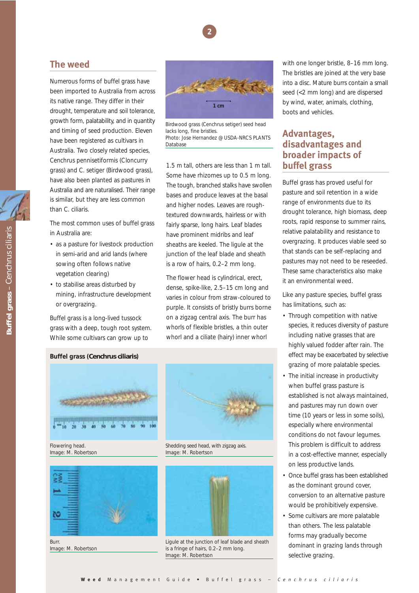

## **The weed**

Numerous forms of buffel grass have been imported to Australia from across its native range. They differ in their drought, temperature and soil tolerance, growth form, palatability, and in quantity and timing of seed production. Eleven have been registered as cultivars in Australia. Two closely related species, *Cenchrus pennisetiformis* (Cloncurry grass) and *C. setiger* (Birdwood grass), have also been planted as pastures in Australia and are naturalised. Their range is similar, but they are less common than *C. ciliaris*.

The most common uses of buffel grass in Australia are:

- as a pasture for livestock production in semi-arid and arid lands (where sowing often follows native vegetation clearing)
- to stabilise areas disturbed by mining, infrastructure development or overgrazing.

Buffel grass is a long-lived tussock grass with a deep, tough root system. While some cultivars can grow up to



Birdwood grass (*Cenchrus setiger*) seed head lacks long, fine bristles. Photo: Jose Hernandez @ USDA-NRCS PLANTS Database

1.5 m tall, others are less than 1 m tall. Some have rhizomes up to 0.5 m long. The tough, branched stalks have swollen bases and produce leaves at the basal and higher nodes. Leaves are roughtextured downwards, hairless or with fairly sparse, long hairs. Leaf blades have prominent midribs and leaf sheaths are keeled. The ligule at the junction of the leaf blade and sheath is a row of hairs, 0.2–2 mm long.

The flower head is cylindrical, erect, dense, spike-like, 2.5–15 cm long and varies in colour from straw-coloured to purple. It consists of bristly burrs borne on a zigzag central axis. The burr has whorls of flexible bristles, a thin outer whorl and a ciliate (hairy) inner whorl

**Buffel grass (***Cenchrus ciliaris***)**



Image: M. Robertson



Burr. Image: M. Robertson



Shedding seed head, with zigzag axis. Image: M. Robertson



Ligule at the junction of leaf blade and sheath is a fringe of hairs, 0.2–2 mm long. Image: M. Robertson

with one longer bristle, 8–16 mm long. The bristles are joined at the very base into a disc. Mature burrs contain a small seed (<2 mm long) and are dispersed by wind, water, animals, clothing, boots and vehicles.

## **Advantages, disadvantages and broader impacts of buffel grass**

Buffel grass has proved useful for pasture and soil retention in a wide range of environments due to its drought tolerance, high biomass, deep roots, rapid response to summer rains, relative palatability and resistance to overgrazing. It produces viable seed so that stands can be self-replacing and pastures may not need to be reseeded. These same characteristics also make it an environmental weed.

Like any pasture species, buffel grass has limitations, such as:

- Through competition with native species, it reduces diversity of pasture including native grasses that are highly valued fodder after rain. The effect may be exacerbated by selective grazing of more palatable species.
- The initial increase in productivity when buffel grass pasture is established is not always maintained, and pastures may run down over time (10 years or less in some soils), especially where environmental conditions do not favour legumes. This problem is difficult to address in a cost-effective manner, especially on less productive lands.
- Once buffel grass has been established as the dominant ground cover, conversion to an alternative pasture would be prohibitively expensive.
- Some cultivars are more palatable than others. The less palatable forms may gradually become dominant in grazing lands through selective grazing.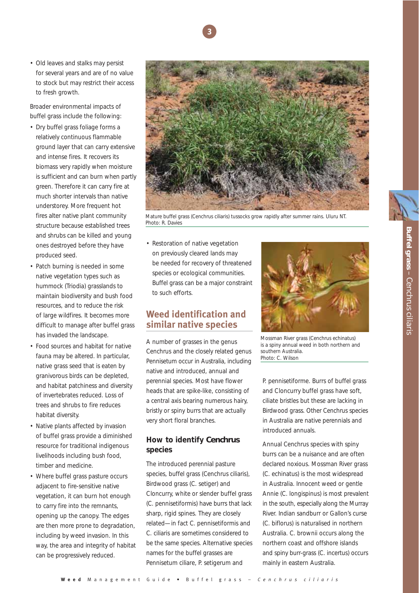

• Old leaves and stalks may persist for several years and are of no value to stock but may restrict their access to fresh growth.

Broader environmental impacts of buffel grass include the following:

- Dry buffel grass foliage forms a relatively continuous flammable ground layer that can carry extensive and intense fires. It recovers its biomass very rapidly when moisture is sufficient and can burn when partly green. Therefore it can carry fire at much shorter intervals than native understorey. More frequent hot fires alter native plant community structure because established trees and shrubs can be killed and young ones destroyed before they have produced seed.
- Patch burning is needed in some native vegetation types such as hummock (*Triodia*) grasslands to maintain biodiversity and bush food resources, and to reduce the risk of large wildfires. It becomes more difficult to manage after buffel grass has invaded the landscape.
- Food sources and habitat for native fauna may be altered. In particular, native grass seed that is eaten by granivorous birds can be depleted, and habitat patchiness and diversity of invertebrates reduced. Loss of trees and shrubs to fire reduces habitat diversity.
- Native plants affected by invasion of buffel grass provide a diminished resource for traditional indigenous livelihoods including bush food, timber and medicine.
- Where buffel grass pasture occurs adjacent to fire-sensitive native vegetation, it can burn hot enough to carry fire into the remnants, opening up the canopy. The edges are then more prone to degradation, including by weed invasion. In this way, the area and integrity of habitat can be progressively reduced.



Mature buffel grass (*Cenchrus ciliaris*) tussocks grow rapidly after summer rains. Uluru NT. Photo: R. Davies

• Restoration of native vegetation on previously cleared lands may be needed for recovery of threatened species or ecological communities. Buffel grass can be a major constraint to such efforts.

## **Weed identification and similar native species**

A number of grasses in the genus *Cenchrus* and the closely related genus *Pennisetum* occur in Australia, including native and introduced, annual and perennial species. Most have flower heads that are spike-like, consisting of a central axis bearing numerous hairy, bristly or spiny burrs that are actually very short floral branches.

#### **How to identify** *Cenchrus* **species**

The introduced perennial pasture species, buffel grass (*Cenchrus ciliaris*), Birdwood grass (*C. setiger*) and Cloncurry, white or slender buffel grass (*C. pennisetiformis*) have burrs that lack sharp, rigid spines. They are closely related—in fact *C. pennisetiformis* and *C. ciliaris* are sometimes considered to be the same species. Alternative species names for the buffel grasses are *Pennisetum ciliare*, *P. setigerum* and



Mossman River grass (*Cenchrus echinatus*) is a spiny annual weed in both northern and southern Australia. Photo: C. Wilson

*P. pennisetiforme*. Burrs of buffel grass and Cloncurry buffel grass have soft, ciliate bristles but these are lacking in Birdwood grass. Other *Cenchrus* species in Australia are native perennials and introduced annuals.

Annual *Cenchrus* species with spiny burrs can be a nuisance and are often declared noxious. Mossman River grass (*C. echinatus*) is the most widespread in Australia. Innocent weed or gentle Annie (*C. longispinus*) is most prevalent in the south, especially along the Murray River. Indian sandburr or Gallon's curse (*C. biflorus*) is naturalised in northern Australia. *C. brownii* occurs along the northern coast and offshore islands and spiny burr-grass (*C. incertus*) occurs mainly in eastern Australia.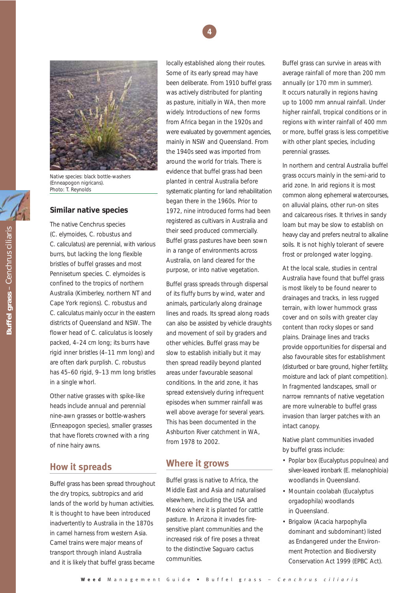



Native species: black bottle-washers (*Enneapogon nigricans*). Photo: T. Reynolds

#### **Similar native species**

The native *Cenchrus* species (*C. elymoides*, *C. robustus* and *C. caliculatus*) are perennial, with various burrs, but lacking the long flexible bristles of buffel grasses and most *Pennisetum* species. *C. elymoides* is confined to the tropics of northern Australia (Kimberley, northern NT and Cape York regions). *C. robustus* and *C. caliculatus* mainly occur in the eastern districts of Queensland and NSW. The flower head of *C. caliculatus* is loosely packed, 4–24 cm long; its burrs have rigid inner bristles (4–11 mm long) and are often dark purplish. *C. robustus* has 45–60 rigid, 9–13 mm long bristles in a single whorl.

Other native grasses with spike-like heads include annual and perennial nine-awn grasses or bottle-washers (*Enneapogon* species), smaller grasses that have florets crowned with a ring of nine hairy awns.

## **How it spreads**

Buffel grass has been spread throughout the dry tropics, subtropics and arid lands of the world by human activities. It is thought to have been introduced inadvertently to Australia in the 1870s in camel harness from western Asia. Camel trains were major means of transport through inland Australia and it is likely that buffel grass became

locally established along their routes. Some of its early spread may have been deliberate. From 1910 buffel grass was actively distributed for planting as pasture, initially in WA, then more widely. Introductions of new forms from Africa began in the 1920s and were evaluated by government agencies, mainly in NSW and Queensland. From the 1940s seed was imported from around the world for trials. There is evidence that buffel grass had been planted in central Australia before systematic planting for land rehabilitation began there in the 1960s. Prior to 1972, nine introduced forms had been registered as cultivars in Australia and their seed produced commercially. Buffel grass pastures have been sown in a range of environments across Australia, on land cleared for the purpose, or into native vegetation.

Buffel grass spreads through dispersal of its fluffy burrs by wind, water and animals, particularly along drainage lines and roads. Its spread along roads can also be assisted by vehicle draughts and movement of soil by graders and other vehicles. Buffel grass may be slow to establish initially but it may then spread readily beyond planted areas under favourable seasonal conditions. In the arid zone, it has spread extensively during infrequent episodes when summer rainfall was well above average for several years. This has been documented in the Ashburton River catchment in WA, from 1978 to 2002.

## **Where it grows**

Buffel grass is native to Africa, the Middle East and Asia and naturalised elsewhere, including the USA and Mexico where it is planted for cattle pasture. In Arizona it invades firesensitive plant communities and the increased risk of fire poses a threat to the distinctive Saguaro cactus communities.

Buffel grass can survive in areas with average rainfall of more than 200 mm annually (or 170 mm in summer). It occurs naturally in regions having up to 1000 mm annual rainfall. Under higher rainfall, tropical conditions or in regions with winter rainfall of 400 mm or more, buffel grass is less competitive with other plant species, including perennial grasses.

In northern and central Australia buffel grass occurs mainly in the semi-arid to arid zone. In arid regions it is most common along ephemeral watercourses, on alluvial plains, other run-on sites and calcareous rises. It thrives in sandy loam but may be slow to establish on heavy clay and prefers neutral to alkaline soils. It is not highly tolerant of severe frost or prolonged water logging.

At the local scale, studies in central Australia have found that buffel grass is most likely to be found nearer to drainages and tracks, in less rugged terrain, with lower hummock grass cover and on soils with greater clay content than rocky slopes or sand plains. Drainage lines and tracks provide opportunities for dispersal and also favourable sites for establishment (disturbed or bare ground, higher fertility, moisture and lack of plant competition). In fragmented landscapes, small or narrow remnants of native vegetation are more vulnerable to buffel grass invasion than larger patches with an intact canopy.

Native plant communities invaded by buffel grass include:

- Poplar box (*Eucalyptus populnea*) and silver-leaved ironbark (*E. melanophloia*) woodlands in Queensland.
- Mountain coolabah (*Eucalyptus orgadophila*) woodlands in Queensland.
- Brigalow (*Acacia harpophylla* dominant and subdominant) listed as Endangered under the *Environment Protection and Biodiversity Conservation Act 1999* (EPBC Act).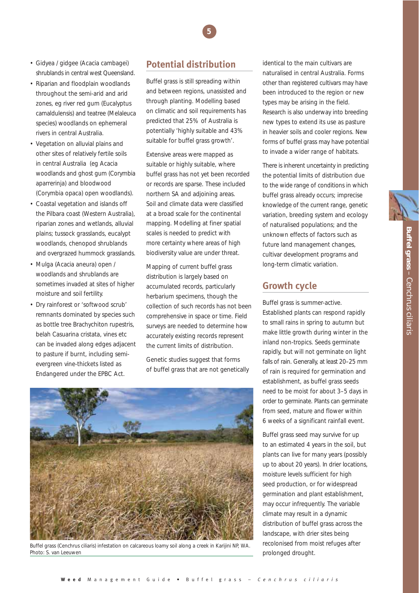Buffel grass - Cenchrus ciliaris **Buffel grass** *– Cenchrus ciliaris*

- Gidyea / gidgee (*Acacia cambagei*) shrublands in central west Queensland.
- Riparian and floodplain woodlands throughout the semi-arid and arid zones, eg river red gum (*Eucalyptus camaldulensis*) and teatree (*Melaleuca* species) woodlands on ephemeral rivers in central Australia.
- Vegetation on alluvial plains and other sites of relatively fertile soils in central Australia (eg *Acacia* woodlands and ghost gum (*Corymbia aparrerinja*) and bloodwood (*Corymbia opaca*) open woodlands).
- Coastal vegetation and islands off the Pilbara coast (Western Australia), riparian zones and wetlands, alluvial plains; tussock grasslands, eucalypt woodlands, chenopod shrublands and overgrazed hummock grasslands.
- Mulga (*Acacia aneura*) open / woodlands and shrublands are sometimes invaded at sites of higher moisture and soil fertility.
- Dry rainforest or 'softwood scrub' remnants dominated by species such as bottle tree *Brachychiton rupestris*, belah *Casuarina cristata*, vines etc can be invaded along edges adjacent to pasture if burnt, including semievergreen vine-thickets listed as Endangered under the EPBC Act.

## **Potential distribution**

**5**

Buffel grass is still spreading within and between regions, unassisted and through planting. Modelling based on climatic and soil requirements has predicted that 25% of Australia is potentially 'highly suitable and 43% suitable for buffel grass growth'.

Extensive areas were mapped as suitable or highly suitable, where buffel grass has not yet been recorded or records are sparse. These included northern SA and adjoining areas. Soil and climate data were classified at a broad scale for the continental mapping. Modelling at finer spatial scales is needed to predict with more certainty where areas of high biodiversity value are under threat.

Mapping of current buffel grass distribution is largely based on accumulated records, particularly herbarium specimens, though the collection of such records has not been comprehensive in space or time. Field surveys are needed to determine how accurately existing records represent the current limits of distribution.

Genetic studies suggest that forms of buffel grass that are not genetically



Buffel grass (*Cenchrus ciliaris*) infestation on calcareous loamy soil along a creek in Karijini NP, WA. Photo: S. van Leeuwen

identical to the main cultivars are naturalised in central Australia. Forms other than registered cultivars may have been introduced to the region or new types may be arising in the field. Research is also underway into breeding new types to extend its use as pasture in heavier soils and cooler regions. New forms of buffel grass may have potential to invade a wider range of habitats.

There is inherent uncertainty in predicting the potential limits of distribution due to the wide range of conditions in which buffel grass already occurs; imprecise knowledge of the current range, genetic variation, breeding system and ecology of naturalised populations; and the unknown effects of factors such as future land management changes, cultivar development programs and long-term climatic variation.

## **Growth cycle**

Buffel grass is summer-active. Established plants can respond rapidly to small rains in spring to autumn but make little growth during winter in the inland non-tropics. Seeds germinate rapidly, but will not germinate on light falls of rain. Generally, at least 20–25 mm of rain is required for germination and establishment, as buffel grass seeds need to be moist for about 3–5 days in order to germinate. Plants can germinate from seed, mature and flower within 6 weeks of a significant rainfall event.

Buffel grass seed may survive for up to an estimated 4 years in the soil, but plants can live for many years (possibly up to about 20 years). In drier locations, moisture levels sufficient for high seed production, or for widespread germination and plant establishment, may occur infrequently. The variable climate may result in a dynamic distribution of buffel grass across the landscape, with drier sites being recolonised from moist refuges after prolonged drought.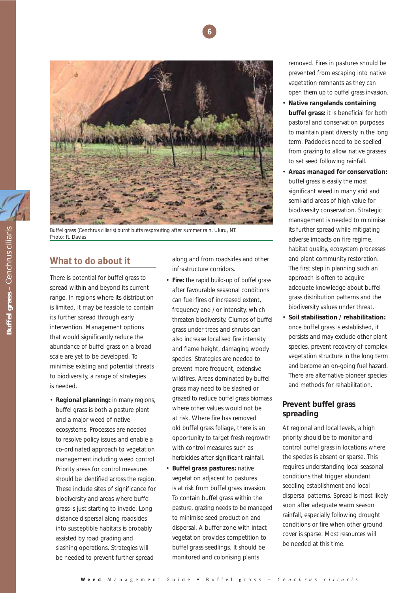



Buffel grass (*Cenchrus ciliaris*) burnt butts resprouting after summer rain. Uluru, NT. Photo: R. Davies

## **What to do about it**

There is potential for buffel grass to spread within and beyond its current range. In regions where its distribution is limited, it may be feasible to contain its further spread through early intervention. Management options that would significantly reduce the abundance of buffel grass on a broad scale are yet to be developed. To minimise existing and potential threats to biodiversity, a range of strategies is needed.

• **Regional planning:** in many regions, buffel grass is both a pasture plant and a major weed of native ecosystems. Processes are needed to resolve policy issues and enable a co-ordinated approach to vegetation management including weed control. Priority areas for control measures should be identified across the region. These include sites of significance for biodiversity and areas where buffel grass is just starting to invade. Long distance dispersal along roadsides into susceptible habitats is probably assisted by road grading and slashing operations. Strategies will be needed to prevent further spread

along and from roadsides and other infrastructure corridors.

- **Fire:** the rapid build-up of buffel grass after favourable seasonal conditions can fuel fires of increased extent, frequency and / or intensity, which threaten biodiversity. Clumps of buffel grass under trees and shrubs can also increase localised fire intensity and flame height, damaging woody species. Strategies are needed to prevent more frequent, extensive wildfires. Areas dominated by buffel grass may need to be slashed or grazed to reduce buffel grass biomass where other values would not be at risk. Where fire has removed old buffel grass foliage, there is an opportunity to target fresh regrowth with control measures such as herbicides after significant rainfall.
- **Buffel grass pastures: native** vegetation adjacent to pastures is at risk from buffel grass invasion. To contain buffel grass within the pasture, grazing needs to be managed to minimise seed production and dispersal. A buffer zone with intact vegetation provides competition to buffel grass seedlings. It should be monitored and colonising plants

removed. Fires in pastures should be prevented from escaping into native vegetation remnants as they can open them up to buffel grass invasion.

- **Native rangelands containing buffel grass:** it is beneficial for both pastoral and conservation purposes to maintain plant diversity in the long term. Paddocks need to be spelled from grazing to allow native grasses to set seed following rainfall.
- **Areas managed for conservation:** buffel grass is easily the most significant weed in many arid and semi-arid areas of high value for biodiversity conservation. Strategic management is needed to minimise its further spread while mitigating adverse impacts on fire regime, habitat quality, ecosystem processes and plant community restoration. The first step in planning such an approach is often to acquire adequate knowledge about buffel grass distribution patterns and the biodiversity values under threat.
- **Soil stabilisation / rehabilitation:** once buffel grass is established, it persists and may exclude other plant species, prevent recovery of complex vegetation structure in the long term and become an on-going fuel hazard. There are alternative pioneer species and methods for rehabilitation.

#### **Prevent buffel grass spreading**

At regional and local levels, a high priority should be to monitor and control buffel grass in locations where the species is absent or sparse. This requires understanding local seasonal conditions that trigger abundant seedling establishment and local dispersal patterns. Spread is most likely soon after adequate warm season rainfall, especially following drought conditions or fire when other ground cover is sparse. Most resources will be needed at this time.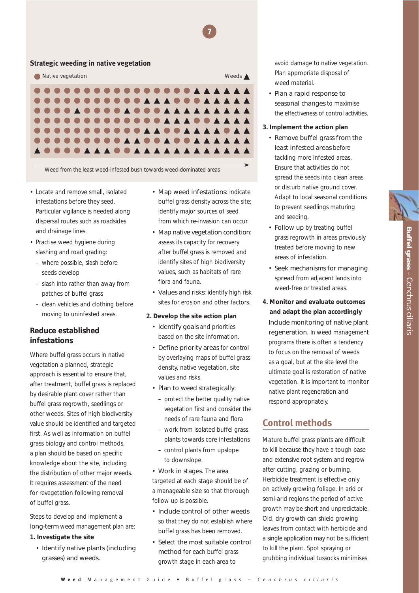#### **Strategic weeding in native vegetation**



Weed from the least weed-infested bush towards weed-dominated areas

- Locate and remove small, isolated infestations before they seed. Particular vigilance is needed along dispersal routes such as roadsides and drainage lines.
- Practise weed hygiene during slashing and road grading:
	- where possible, slash before seeds develop
	- slash into rather than away from patches of buffel grass
	- clean vehicles and clothing before moving to uninfested areas.

#### **Reduce established infestations**

Where buffel grass occurs in native vegetation a planned, strategic approach is essential to ensure that, after treatment, buffel grass is replaced by desirable plant cover rather than buffel grass regrowth, seedlings or other weeds. Sites of high biodiversity value should be identified and targeted first. As well as information on buffel grass biology and control methods, a plan should be based on specific knowledge about the site, including the distribution of other major weeds. It requires assessment of the need for revegetation following removal of buffel grass.

Steps to develop and implement a long-term weed management plan are:

#### **1. Investigate the site**

• Identify native plants (including grasses) and weeds.

• Map weed infestations: indicate buffel grass density across the site; identify major sources of seed from which re-invasion can occur.

**7**

- Map native vegetation condition: assess its capacity for recovery after buffel grass is removed and identify sites of high biodiversity values, such as habitats of rare flora and fauna.
- Values and risks: identify high risk sites for erosion and other factors.

#### **2. Develop the site action plan**

- Identify goals and priorities based on the site information.
- Define priority areas for control by overlaying maps of buffel grass density, native vegetation, site values and risks.
- Plan to weed strategically:
	- protect the better quality native vegetation first and consider the needs of rare fauna and flora
	- work from isolated buffel grass plants towards core infestations
	- control plants from upslope to downslope.
- Work in stages. The area targeted at each stage should be of a manageable size so that thorough follow up is possible.
- Include control of other weeds so that they do not establish where buffel grass has been removed.
- Select the most suitable control method for each buffel grass growth stage in each area to

avoid damage to native vegetation. Plan appropriate disposal of weed material.

- Plan a rapid response to seasonal changes to maximise the effectiveness of control activities.
- **3. Implement the action plan**
	- Remove buffel grass from the least infested areas before tackling more infested areas. Ensure that activities do not spread the seeds into clean areas or disturb native ground cover. Adapt to local seasonal conditions to prevent seedlings maturing and seeding.
	- Follow up by treating buffel grass regrowth in areas previously treated before moving to new areas of infestation.
	- Seek mechanisms for managing spread from adjacent lands into weed-free or treated areas.
- **4. Monitor and evaluate outcomes and adapt the plan accordingly** Include monitoring of native plant regeneration. In weed management programs there is often a tendency to focus on the removal of weeds as a goal, but at the site level the ultimate goal is restoration of native vegetation. It is important to monitor native plant regeneration and respond appropriately.

## **Control methods**

Mature buffel grass plants are difficult to kill because they have a tough base and extensive root system and regrow after cutting, grazing or burning. Herbicide treatment is effective only on actively growing foliage. In arid or semi-arid regions the period of active growth may be short and unpredictable. Old, dry growth can shield growing leaves from contact with herbicide and a single application may not be sufficient to kill the plant. Spot spraying or grubbing individual tussocks minimises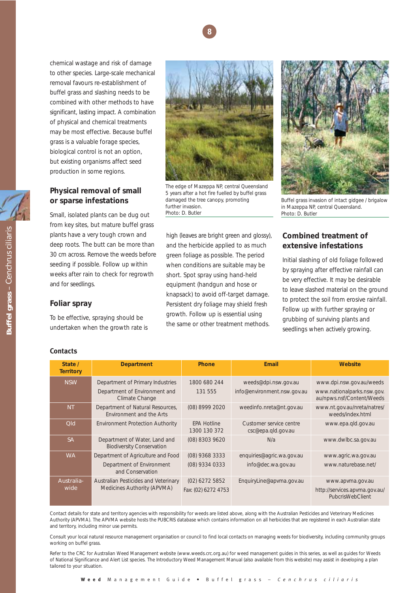

chemical wastage and risk of damage to other species. Large-scale mechanical removal favours re-establishment of buffel grass and slashing needs to be combined with other methods to have significant, lasting impact. A combination of physical and chemical treatments may be most effective. Because buffel grass is a valuable forage species, biological control is not an option, but existing organisms affect seed production in some regions.

#### **Physical removal of small or sparse infestations**

Small, isolated plants can be dug out from key sites, but mature buffel grass plants have a very tough crown and deep roots. The butt can be more than 30 cm across. Remove the weeds before seeding if possible. Follow up within weeks after rain to check for regrowth and for seedlings.

#### **Foliar spray**

To be effective, spraying should be undertaken when the growth rate is



The edge of Mazeppa NP, central Queensland 5 years after a hot fire fuelled by buffel grass damaged the tree canopy, promoting further invasion. Photo: D. Butler

high (leaves are bright green and glossy), and the herbicide applied to as much green foliage as possible. The period when conditions are suitable may be short. Spot spray using hand-held equipment (handgun and hose or knapsack) to avoid off-target damage. Persistent dry foliage may shield fresh growth. Follow up is essential using the same or other treatment methods.



Buffel grass invasion of intact gidgee / brigalow in Mazeppa NP, central Queensland. Photo: D. Butler

#### **Combined treatment of extensive infestations**

Initial slashing of old foliage followed by spraying after effective rainfall can be very effective. It may be desirable to leave slashed material on the ground to protect the soil from erosive rainfall. Follow up with further spraying or grubbing of surviving plants and seedlings when actively growing.

| <b>Contacts</b> |                             |        |  |  |  |  |
|-----------------|-----------------------------|--------|--|--|--|--|
|                 | State /<br><b>Territory</b> |        |  |  |  |  |
|                 | <b>NSW</b>                  | Г<br>ſ |  |  |  |  |
|                 |                             |        |  |  |  |  |

| State /<br><b>Territory</b> | <b>Department</b>                                                   | <b>Phone</b>                       | Email                                         | Website                                                 |
|-----------------------------|---------------------------------------------------------------------|------------------------------------|-----------------------------------------------|---------------------------------------------------------|
| <b>NSW</b>                  | Department of Primary Industries                                    | 1800 680 244                       | weeds@dpi.nsw.gov.au                          | www.dpi.nsw.gov.au/weeds                                |
|                             | Department of Environment and<br>Climate Change                     | 131 555                            | info@environment.nsw.gov.au                   | www.nationalparks.nsw.gov.<br>au/npws.nsf/Content/Weeds |
| <b>NT</b>                   | Department of Natural Resources,<br><b>Fnvironment and the Arts</b> | (08) 8999 2020                     | weedinfo.nreta@nt.gov.au                      | www.nt.gov.au/nreta/natres/<br>weeds/index.html         |
| <b>Qld</b>                  | <b>Environment Protection Authority</b>                             | <b>EPA Hotline</b><br>1300 130 372 | Customer service centre<br>csc@epa.qld.gov.au | www.epa.gld.gov.au                                      |
| <b>SA</b>                   | Department of Water, Land and<br><b>Biodiversity Conservation</b>   | (08) 8303 9620                     | N/a                                           | www.dwlbc.sa.gov.au                                     |
| <b>WA</b>                   | Department of Agriculture and Food                                  | (08) 9368 3333                     | enquiries@agric.wa.gov.au                     | www.agric.wa.gov.au                                     |
|                             | Department of Environment<br>and Conservation                       | (08) 9334 0333                     | info@dec.wa.gov.au                            | www.naturebase.net/                                     |
| Australia-<br>wide          | Australian Pesticides and Veterinary                                | $(02)$ 6272 5852                   | EnquiryLine@apvma.gov.au                      | www.apvma.gov.au                                        |
|                             | Medicines Authority (APVMA)                                         | Fax: (02) 6272 4753                |                                               | http://services.apvma.gov.au/<br>PubcrisWebClient       |

Contact details for state and territory agencies with responsibility for weeds are listed above, along with the Australian Pesticides and Veterinary Medicines Authority (APVMA). The APVMA website hosts the PUBCRIS database which contains information on all herbicides that are registered in each Australian state and territory, including minor use permits.

Consult your local natural resource management organisation or council to find local contacts on managing weeds for biodiversity, including community groups working on buffel grass.

Refer to the CRC for Australian Weed Management website (www.weeds.crc.org.au) for weed management guides in this series, as well as guides for Weeds of National Significance and Alert List species. The Introductory Weed Management Manual (also available from this website) may assist in developing a plan tailored to your situation.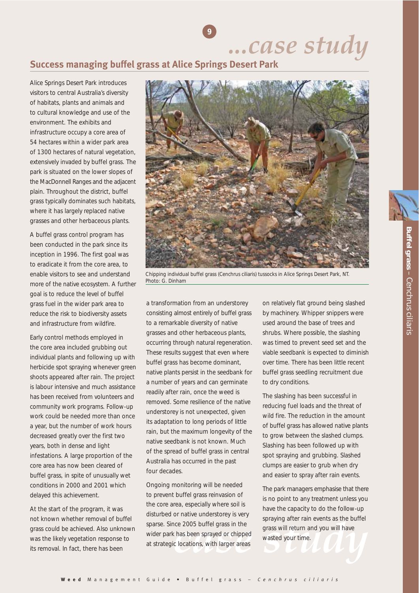*...case study*

## **Success managing buffel grass at Alice Springs Desert Park**

**9**

Alice Springs Desert Park introduces visitors to central Australia's diversity of habitats, plants and animals and to cultural knowledge and use of the environment. The exhibits and infrastructure occupy a core area of 54 hectares within a wider park area of 1300 hectares of natural vegetation, extensively invaded by buffel grass. The park is situated on the lower slopes of the MacDonnell Ranges and the adjacent plain. Throughout the district, buffel grass typically dominates such habitats, where it has largely replaced native grasses and other herbaceous plants.

A buffel grass control program has been conducted in the park since its inception in 1996. The first goal was to eradicate it from the core area, to enable visitors to see and understand more of the native ecosystem. A further goal is to reduce the level of buffel grass fuel in the wider park area to reduce the risk to biodiversity assets and infrastructure from wildfire.

Early control methods employed in the core area included grubbing out individual plants and following up with herbicide spot spraying whenever green shoots appeared after rain. The project is labour intensive and much assistance has been received from volunteers and community work programs. Follow-up work could be needed more than once a year, but the number of work hours decreased greatly over the first two years, both in dense and light infestations. A large proportion of the core area has now been cleared of buffel grass, in spite of unusually wet conditions in 2000 and 2001 which delayed this achievement.

At the start of the program, it was not known whether removal of buffel grass could be achieved. Also unknown was the likely vegetation response to its removal. In fact, there has been



Chipping individual buffel grass (*Cenchrus ciliaris*) tussocks in Alice Springs Desert Park, NT. Photo: G. Dinham

a transformation from an understorey consisting almost entirely of buffel grass to a remarkable diversity of native grasses and other herbaceous plants, occurring through natural regeneration. These results suggest that even where buffel grass has become dominant, native plants persist in the seedbank for a number of years and can germinate readily after rain, once the weed is removed. Some resilience of the native understorey is not unexpected, given its adaptation to long periods of little rain, but the maximum longevity of the native seedbank is not known. Much of the spread of buffel grass in central Australia has occurred in the past four decades.

Ongoing monitoring will be needed to prevent buffel grass reinvasion of the core area, especially where soil is disturbed or native understorey is very sparse. Since 2005 buffel grass in the wider park has been sprayed or chipped at strategic locations, with larger areas

on relatively flat ground being slashed by machinery. Whipper snippers were used around the base of trees and shrubs. Where possible, the slashing was timed to prevent seed set and the viable seedbank is expected to diminish over time. There has been little recent buffel grass seedling recruitment due to dry conditions.

The slashing has been successful in reducing fuel loads and the threat of wild fire. The reduction in the amount of buffel grass has allowed native plants to grow between the slashed clumps. Slashing has been followed up with spot spraying and grubbing. Slashed clumps are easier to grub when dry and easier to spray after rain events.

rice 2005 buffel grass in the grass will return and you will have<br>
c locations, with larger areas<br>
c locations, with larger areas The park managers emphasise that there is no point to any treatment unless you have the capacity to do the follow-up spraying after rain events as the buffel grass will return and you will have wasted your time.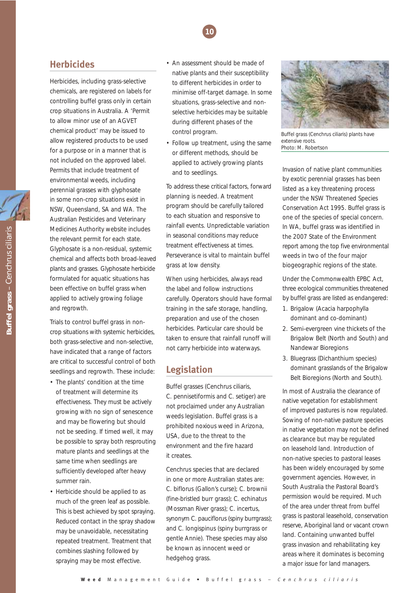## **10**

## **Herbicides**

Herbicides, including grass-selective chemicals, are registered on labels for controlling buffel grass only in certain crop situations in Australia. A 'Permit to allow minor use of an AGVET chemical product' may be issued to allow registered products to be used for a purpose or in a manner that is not included on the approved label. Permits that include treatment of environmental weeds, including perennial grasses with glyphosate in some non-crop situations exist in NSW, Queensland, SA and WA. The Australian Pesticides and Veterinary Medicines Authority website includes the relevant permit for each state. Glyphosate is a non-residual, systemic chemical and affects both broad-leaved plants and grasses. Glyphosate herbicide formulated for aquatic situations has been effective on buffel grass when applied to actively growing foliage and regrowth.

Trials to control buffel grass in noncrop situations with systemic herbicides, both grass-selective and non-selective, have indicated that a range of factors are critical to successful control of both seedlings and regrowth. These include:

- The plants' condition at the time of treatment will determine its effectiveness. They must be actively growing with no sign of senescence and may be flowering but should not be seeding. If timed well, it may be possible to spray both resprouting mature plants and seedlings at the same time when seedlings are sufficiently developed after heavy summer rain.
- Herbicide should be applied to as much of the green leaf as possible. This is best achieved by spot spraying. Reduced contact in the spray shadow may be unavoidable, necessitating repeated treatment. Treatment that combines slashing followed by spraying may be most effective.
- An assessment should be made of native plants and their susceptibility to different herbicides in order to minimise off-target damage. In some situations, grass-selective and nonselective herbicides may be suitable during different phases of the control program.
- Follow up treatment, using the same or different methods, should be applied to actively growing plants and to seedlings.

To address these critical factors, forward planning is needed. A treatment program should be carefully tailored to each situation and responsive to rainfall events. Unpredictable variation in seasonal conditions may reduce treatment effectiveness at times. Perseverance is vital to maintain buffel grass at low density.

When using herbicides, always read the label and follow instructions carefully. Operators should have formal training in the safe storage, handling, preparation and use of the chosen herbicides. Particular care should be taken to ensure that rainfall runoff will not carry herbicide into waterways.

## **Legislation**

Buffel grasses (*Cenchrus ciliaris*, *C. pennisetiformis* and *C. setiger*) are not proclaimed under any Australian weeds legislation. Buffel grass is a prohibited noxious weed in Arizona, USA, due to the threat to the environment and the fire hazard it creates.

*Cenchrus* species that are declared in one or more Australian states are: *C. biflorus* (Gallon's curse); *C. brownii* (fine-bristled burr grass); *C. echinatus* (Mossman River grass); *C. incertus*, synonym *C. pauciflorus* (spiny burrgrass); and *C. longispinus* (spiny burrgrass or gentle Annie). These species may also be known as innocent weed or hedgehog grass.



Buffel grass (*Cenchrus ciliaris*) plants have extensive roots. Photo: M. Robertson

Invasion of native plant communities by exotic perennial grasses has been listed as a key threatening process under the NSW *Threatened Species Conservation Act 1995*. Buffel grass is one of the species of special concern. In WA, buffel grass was identified in the 2007 State of the Environment report among the top five environmental weeds in two of the four major biogeographic regions of the state.

Under the Commonwealth EPBC Act, three ecological communities threatened by buffel grass are listed as endangered:

- 1. Brigalow (*Acacia harpophylla* dominant and co-dominant)
- 2. Semi-evergreen vine thickets of the Brigalow Belt (North and South) and Nandewar Bioregions
- 3. Bluegrass (*Dichanthium* species) dominant grasslands of the Brigalow Belt Bioregions (North and South).

In most of Australia the clearance of native vegetation for establishment of improved pastures is now regulated. Sowing of non-native pasture species in native vegetation may not be defined as clearance but may be regulated on leasehold land. Introduction of non-native species to pastoral leases has been widely encouraged by some government agencies. However, in South Australia the Pastoral Board's permission would be required. Much of the area under threat from buffel grass is pastoral leasehold, conservation reserve, Aboriginal land or vacant crown land. Containing unwanted buffel grass invasion and rehabilitating key areas where it dominates is becoming a major issue for land managers.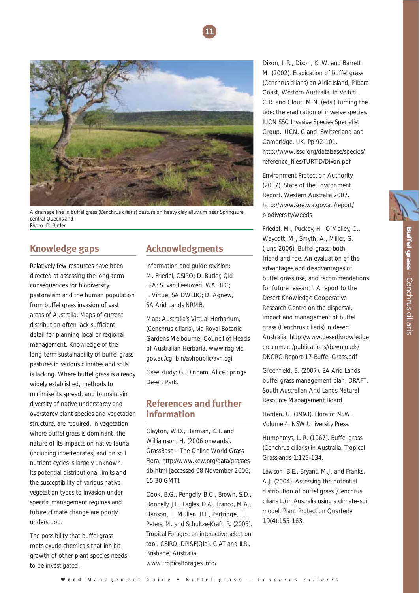



A drainage line in buffel grass (*Cenchrus ciliaris*) pasture on heavy clay alluvium near Springsure, central Queensland. Photo: D. Butler

## **Knowledge gaps**

Relatively few resources have been directed at assessing the long-term consequences for biodiversity, pastoralism and the human population from buffel grass invasion of vast areas of Australia. Maps of current distribution often lack sufficient detail for planning local or regional management. Knowledge of the long-term sustainability of buffel grass pastures in various climates and soils is lacking. Where buffel grass is already widely established, methods to minimise its spread, and to maintain diversity of native understorey and overstorey plant species and vegetation structure, are required. In vegetation where buffel grass is dominant, the nature of its impacts on native fauna (including invertebrates) and on soil nutrient cycles is largely unknown. Its potential distributional limits and the susceptibility of various native vegetation types to invasion under specific management regimes and future climate change are poorly understood.

The possibility that buffel grass roots exude chemicals that inhibit growth of other plant species needs to be investigated.

## **Acknowledgments**

Information and guide revision: M. Friedel, CSIRO; D. Butler, Qld EPA; S. van Leeuwen, WA DEC; J. Virtue, SA DWLBC; D. Agnew, SA Arid Lands NRMB.

Map: Australia's Virtual Herbarium, (*Cenchrus ciliaris*), via Royal Botanic Gardens Melbourne, Council of Heads of Australian Herbaria. www.rbg.vic. gov.au/cgi-bin/avhpublic/avh.cgi.

Case study: G. Dinham, Alice Springs Desert Park.

## **References and further information**

Clayton, W.D., Harman, K.T. and Williamson, H. (2006 onwards). GrassBase – *The Online World Grass Flora*. http://www.kew.org/data/grassesdb.html [accessed 08 November 2006; 15:30 GMT].

Cook, B.G., Pengelly, B.C., Brown, S.D., Donnelly, J.L., Eagles, D.A., Franco, M.A., Hanson, J., Mullen, B.F., Partridge, I.J., Peters, M. and Schultze-Kraft, R. (2005). *Tropical Forages: an interactive selection tool*. CSIRO, DPI&F(Qld), CIAT and ILRI, Brisbane, Australia. www.tropicalforages.info/

Dixon, I. R., Dixon, K. W. and Barrett M. (2002). Eradication of buffel grass (*Cenchrus ciliaris*) on Airlie Island, Pilbara Coast, Western Australia. *In* Veitch, C.R. and Clout, M.N. (eds.) *Turning the tide: the eradication of invasive species*. IUCN SSC Invasive Species Specialist Group. IUCN, Gland, Switzerland and Cambridge, UK. Pp 92-101. http://www.issg.org/database/species/ reference\_files/TURTID/Dixon.pdf

Environment Protection Authority (2007). *State of the Environment Report*. Western Australia 2007. http://www.soe.wa.gov.au/report/ biodiversity/weeds

Friedel, M., Puckey, H., O'Malley, C., Waycott, M., Smyth, A., Miller, G. (June 2006). *Buffel grass: both friend and foe. An evaluation of the advantages and disadvantages of buffel grass use, and recommendations for future research*. A report to the Desert Knowledge Cooperative Research Centre on the dispersal, impact and management of buffel grass (*Cenchrus ciliaris*) in desert Australia. http://www.desertknowledge crc.com.au/publications/downloads/ DKCRC-Report-17-Buffel-Grass.pdf

Greenfield, B. (2007). *SA Arid Lands buffel grass management plan, DRAFT*. South Australian Arid Lands Natural Resource Management Board.

Harden, G. (1993). *Flora of NSW*. Volume 4. NSW University Press.

Humphreys, L. R. (1967). Buffel grass (*Cenchrus ciliaris*) in Australia. *Tropical Grasslands* 1:123-134.

Lawson, B.E., Bryant, M.J. and Franks, A.J. (2004). Assessing the potential distribution of buffel grass (*Cenchrus ciliaris L*.) in Australia using a climate–soil model. *Plant Protection Quarterly* 19(4):155-163.